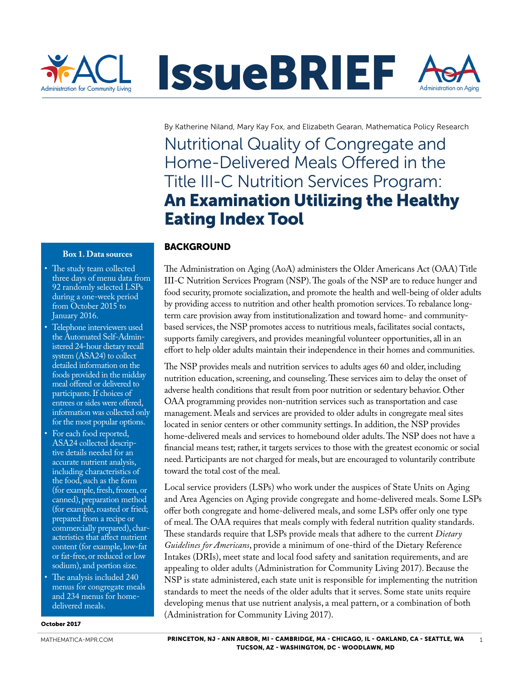

By Katherine Niland, Mary Kay Fox, and Elizabeth Gearan, Mathematica Policy Research

Nutritional Quality of Congregate and Home-Delivered Meals Offered in the Title III-C Nutrition Services Program: An Examination Utilizing the Healthy Eating Index Tool

#### **Box 1. Data sources**

- The study team collected three days of menu data from 92 randomly selected LSPs during a one-week period from October 2015<sup>to</sup> January 2016.
- Telephone interviewers used the Automated Self-Administered 24-hour dietary recall system (ASA24) to collect detailed information on the foods provided in the midday meal offered or delivered to participants. If choices of entrees or sides were offered, information was collected only for the most popular options.
- For each food reported, ASA24 collected descriptive details needed for an accurate nutrient analysis, including characteristics of the food, such as the form (for example, fresh, frozen, or canned), preparation method (for example, roasted or fried; prepared from a recipe or commercially prepared), characteristics that affect nutrient content (for example, low-fat or fat-free, or reduced or low sodium), and portion size.
- The analysis included 240 menus for congregate meals and 234 menus for homedelivered meals.

October 2017

# BACKGROUND

The Administration on Aging (AoA) administers the Older Americans Act (OAA) Title III-C Nutrition Services Program (NSP). The goals of the NSP are to reduce hunger and food security, promote socialization, and promote the health and well-being of older adults by providing access to nutrition and other health promotion services. To rebalance longterm care provision away from institutionalization and toward home- and communitybased services, the NSP promotes access to nutritious meals, facilitates social contacts, supports family caregivers, and provides meaningful volunteer opportunities, all in an effort to help older adults maintain their independence in their homes and communities.

The NSP provides meals and nutrition services to adults ages 60 and older, including nutrition education, screening, and counseling. These services aim to delay the onset of adverse health conditions that result from poor nutrition or sedentary behavior. Other OAA programming provides non-nutrition services such as transportation and case management. Meals and services are provided to older adults in congregate meal sites located in senior centers or other community settings. In addition, the NSP provides home-delivered meals and services to homebound older adults. The NSP does not have a financial means test; rather, it targets services to those with the greatest economic or social need. Participants are not charged for meals, but are encouraged to voluntarily contribute toward the total cost of the meal.

Local service providers (LSPs) who work under the auspices of State Units on Aging and Area Agencies on Aging provide congregate and home-delivered meals. Some LSPs offer both congregate and home-delivered meals, and some LSPs offer only one type of meal. The OAA requires that meals comply with federal nutrition quality standards. These standards require that LSPs provide meals that adhere to the current *Dietary Guidelines for Americans*, provide a minimum of one-third of the Dietary Reference Intakes (DRIs), meet state and local food safety and sanitation requirements, and are appealing to older adults (Administration for Community Living 2017). Because the NSP is state administered, each state unit is responsible for implementing the nutrition standards to meet the needs of the older adults that it serves. Some state units require developing menus that use nutrient analysis, a meal pattern, or a combination of both (Administration for Community Living 2017).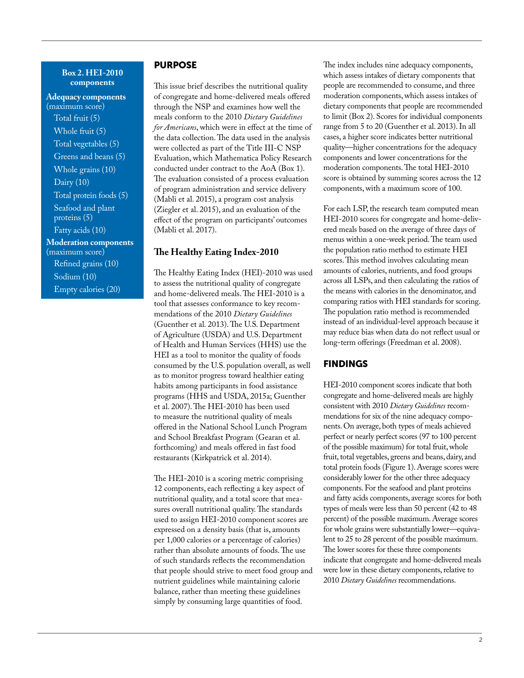#### **Box 2. HEI-2010 components**

**Adequacy components**  (maximum score) Total fruit (5) Whole fruit (5) Total vegetables (5) Greens and beans (5) Whole grains (10) Dairy (10) Total protein foods (5) Seafood and plant proteins (5) Fatty acids (10) **Moderation components**  (maximum score) Refined grains (10) Sodium (10) Empty calories (20)

## PURPOSE

This issue brief describes the nutritional quality of congregate and home-delivered meals offered through the NSP and examines how well the meals conform to the 2010 *Dietary Guidelines for Americans*, which were in effect at the time of the data collection. The data used in the analysis were collected as part of the Title III-C NSP Evaluation, which Mathematica Policy Research conducted under contract to the AoA (Box 1). The evaluation consisted of a process evaluation of program administration and service delivery (Mabli et al. 2015), a program cost analysis (Ziegler et al. 2015), and an evaluation of the effect of the program on participants' outcomes (Mabli et al. 2017).

#### **The Healthy Eating Index-2010**

The Healthy Eating Index (HEI)-2010 was used to assess the nutritional quality of congregate and home-delivered meals. The HEI-2010 is a tool that assesses conformance to key recommendations of the 2010 *Dietary Guidelines* (Guenther et al. 2013). The U.S. Department of Agriculture (USDA) and U.S. Department of Health and Human Services (HHS) use the HEI as a tool to monitor the quality of foods consumed by the U.S. population overall, as well as to monitor progress toward healthier eating habits among participants in food assistance programs (HHS and USDA, 2015a; Guenther et al. 2007). The HEI-2010 has been used to measure the nutritional quality of meals offered in the National School Lunch Program and School Breakfast Program (Gearan et al. forthcoming) and meals offered in fast food restaurants (Kirkpatrick et al. 2014).

The HEI-2010 is a scoring metric comprising 12 components, each reflecting a key aspect of nutritional quality, and a total score that measures overall nutritional quality. The standards used to assign HEI-2010 component scores are expressed on a density basis (that is, amounts per 1,000 calories or a percentage of calories) rather than absolute amounts of foods. The use of such standards reflects the recommendation that people should strive to meet food group and nutrient guidelines while maintaining calorie balance, rather than meeting these guidelines simply by consuming large quantities of food.

The index includes nine adequacy components, which assess intakes of dietary components that people are recommended to consume, and three moderation components, which assess intakes of dietary components that people are recommended to limit (Box 2). Scores for individual components range from 5 to 20 (Guenther et al. 2013). In all cases, a higher score indicates better nutritional quality—higher concentrations for the adequacy components and lower concentrations for the moderation components. The total HEI-2010 score is obtained by summing scores across the 12 components, with a maximum score of 100.

For each LSP, the research team computed mean HEI-2010 scores for congregate and home-delivered meals based on the average of three days of menus within a one-week period. The team used the population ratio method to estimate HEI scores. This method involves calculating mean amounts of calories, nutrients, and food groups across all LSPs, and then calculating the ratios of the means with calories in the denominator, and comparing ratios with HEI standards for scoring. The population ratio method is recommended instead of an individual-level approach because it may reduce bias when data do not reflect usual or long-term offerings (Freedman et al. 2008).

#### FINDINGS

HEI-2010 component scores indicate that both congregate and home-delivered meals are highly consistent with 2010 *Dietary Guidelines* recommendations for six of the nine adequacy components. On average, both types of meals achieved perfect or nearly perfect scores (97 to 100 percent of the possible maximum) for total fruit, whole fruit, total vegetables, greens and beans, dairy, and total protein foods (Figure 1). Average scores were considerably lower for the other three adequacy components. For the seafood and plant proteins and fatty acids components, average scores for both types of meals were less than 50 percent (42 to 48 percent) of the possible maximum. Average scores for whole grains were substantially lower—equivalent to 25 to 28 percent of the possible maximum. The lower scores for these three components indicate that congregate and home-delivered meals were low in these dietary components, relative to 2010 *Dietary Guidelines* recommendations.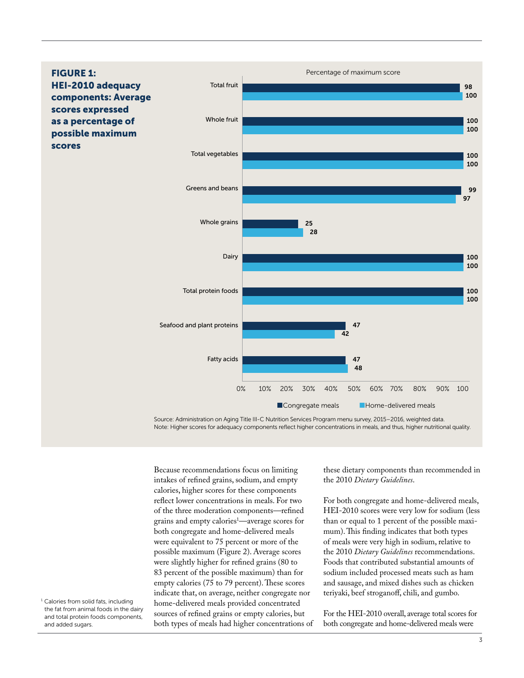

Source: Administration on Aging Title III-C Nutrition Services Program menu survey, 2015–2016, weighted data. Note: Higher scores for adequacy components reflect higher concentrations in meals, and thus, higher nutritional quality.

Because recommendations focus on limiting intakes of refined grains, sodium, and empty calories, higher scores for these components reflect lower concentrations in meals. For two of the three moderation components—refined grains and empty calories1 —average scores for both congregate and home-delivered meals were equivalent to 75 percent or more of the possible maximum (Figure 2). Average scores were slightly higher for refined grains (80 to 83 percent of the possible maximum) than for empty calories (75 to 79 percent). These scores indicate that, on average, neither congregate nor home-delivered meals provided concentrated sources of refined grains or empty calories, but both types of meals had higher concentrations of

these dietary components than recommended in the 2010 *Dietary Guidelines*.

For both congregate and home-delivered meals, HEI-2010 scores were very low for sodium (less than or equal to 1 percent of the possible maximum). This finding indicates that both types of meals were very high in sodium, relative to the 2010 *Dietary Guidelines* recommendations. Foods that contributed substantial amounts of sodium included processed meats such as ham and sausage, and mixed dishes such as chicken teriyaki, beef stroganoff, chili, and gumbo.

For the HEI-2010 overall, average total scores for both congregate and home-delivered meals were

<sup>1</sup> Calories from solid fats, including the fat from animal foods in the dairy and total protein foods components, and added sugars.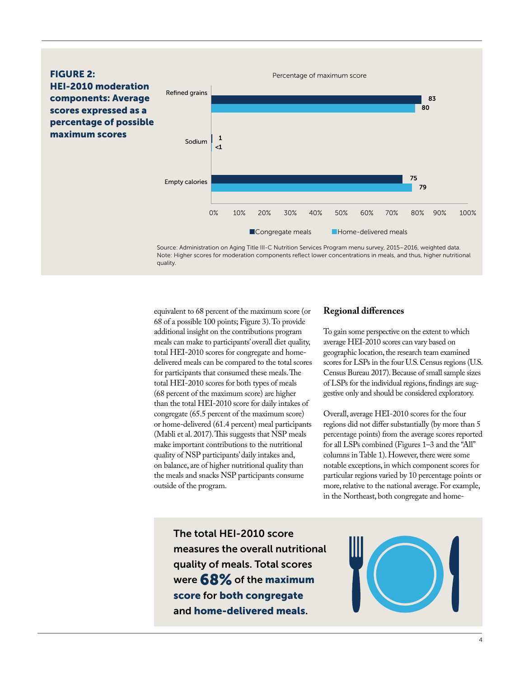

Note: Higher scores for moderation components reflect lower concentrations in meals, and thus, higher nutritional quality.

equivalent to 68 percent of the maximum score (or 68 of a possible 100 points; Figure 3). To provide additional insight on the contributions program meals can make to participants' overall diet quality, total HEI-2010 scores for congregate and homedelivered meals can be compared to the total scores for participants that consumed these meals. The total HEI-2010 scores for both types of meals (68 percent of the maximum score) are higher than the total HEI-2010 score for daily intakes of congregate (65.5 percent of the maximum score) or home-delivered (61.4 percent) meal participants (Mabli et al. 2017). This suggests that NSP meals make important contributions to the nutritional quality of NSP participants' daily intakes and, on balance, are of higher nutritional quality than the meals and snacks NSP participants consume outside of the program.

# **Regional differences**

To gain some perspective on the extent to which average HEI-2010 scores can vary based on geographic location, the research team examined scores for LSPs in the four U.S. Census regions (U.S. Census Bureau 2017). Because of small sample sizes of LSPs for the individual regions, findings are suggestive only and should be considered exploratory.

Overall, average HEI-2010 scores for the four regions did not differ substantially (by more than 5 percentage points) from the average scores reported for all LSPs combined (Figures  $1-3$  and the "All" columns in Table 1). However, there were some notable exceptions, in which component scores for particular regions varied by 10 percentage points or more, relative to the national average. For example, in the Northeast, both congregate and home-

The total HEI-2010 score measures the overall nutritional quality of meals. Total scores were 68% of the maximum score for both congregate and home-delivered meals.

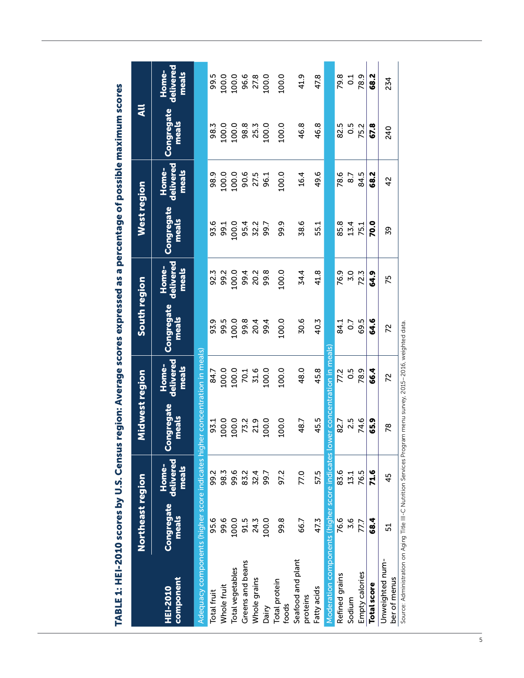|                                                                                                               | Northeast region    |                             | Midwest region                  |                             | South region        |                             | West region          |                             | $\overline{a}$      |                             |
|---------------------------------------------------------------------------------------------------------------|---------------------|-----------------------------|---------------------------------|-----------------------------|---------------------|-----------------------------|----------------------|-----------------------------|---------------------|-----------------------------|
| component<br>HEI-2010                                                                                         | Congregate<br>meals | Home-<br>delivered<br>meals | Congregate<br>meals             | Home-<br>delivered<br>meals | Congregate<br>meals | Home-<br>delivered<br>meals | Congregate<br>meals  | Home-<br>delivered<br>meals | Congregate<br>meals | delivered<br>Home-<br>meals |
| Adequacy components (higher score indicates higher concentration in meals)                                    |                     |                             |                                 |                             |                     |                             |                      |                             |                     |                             |
| <b>Total fruit</b>                                                                                            | 95.6                | 99.2                        | 93.1                            | 84.7                        | 93.9                | 92.3                        | 93.6                 | 98.9                        | 98.3                | 99.5                        |
| Whole fruit                                                                                                   | 99.6                | 98.3                        | 100.0                           | 100.0                       | 99.5                | 99.2                        | 99.1                 | 100.0                       | 100.0               | 100.0                       |
| Total vegetables                                                                                              | 100.0               | 99.6                        |                                 | 100.0                       | 100.0               | 100.0                       | 100.0                | 100.0                       | 100.0               | 100.0                       |
| Greens and beans                                                                                              | 91.5                | 83.2                        | 100.0<br>73.2<br>100.0<br>100.0 | 70.1                        | 99.8                | 99.4                        |                      |                             |                     |                             |
| Whole grains                                                                                                  | 24.3                | 32.4                        |                                 | 31.6                        | 20.4<br>99.4        | 20.2                        | 95.2<br>52.2<br>99.7 | 90.5<br>27.5<br>96.1        | 98.3<br>25.3        | 96.6<br>27.8                |
| Dairy                                                                                                         | 100.0               | 99.7                        |                                 | 100.0                       |                     | 99.8                        |                      |                             | 100.0               | 100.0                       |
| <b>Total protein</b><br>foods                                                                                 | 99.8                | 97.2                        | 100.0                           | 100.0                       | 100.0               | 100.0                       | 99.9                 | 100.0                       | 100.0               | 100.0                       |
| Seafood and plant<br>proteins                                                                                 | 66.7                | 77.0                        | 48.7                            | 48.0                        | 30.6                | 34.4                        | 38.6                 | 16.4                        | 46.8                | 41.9                        |
| Fatty acids                                                                                                   | 47.3                | 57.5                        | 45.5                            | 45.8                        | 40.3                | 41.8                        | 55.1                 | 49.6                        | 46.8                | 47.8                        |
| Moderation components (higher score indicates lo                                                              |                     |                             |                                 | wer concentration in meals  |                     |                             |                      |                             |                     |                             |
| Refined grains                                                                                                | 76.6                | 83.6                        | 82.7                            | 77.2                        | 84.1                | 76.9                        | 85.8                 | 78.6                        | 82.5                | 79.8                        |
| Sodium                                                                                                        | 3.6                 | 13.1                        | 2.5                             | 0.5                         | $\overline{0}$      | 3.0                         | 13.4                 | 8.7                         | 0.5                 | $\overline{0}$ :            |
| Empty calories                                                                                                | 77,7                | 76.5                        | 74.6                            | 78.9                        | 69.5                | 72.3                        | 75.1                 | 84.5                        | 75.2                | 78.9                        |
| <b>Total score</b>                                                                                            | 68.4                | 71.6                        | 65.9                            | 66.4                        | 64.6                | 64.9                        | <b>P.O</b>           | 68.2                        | 67.8                | 68.2                        |
| Unweighted num-<br>ber of menus                                                                               | 51                  | 45                          | 78                              | 72                          | 72                  | 75                          | 39                   | $\frac{2}{3}$               | 240                 | 234                         |
| Source: Administration on Aging Title III-C Nutrition Services Program menu survey, 2015-2016, weighted data. |                     |                             |                                 |                             |                     |                             |                      |                             |                     |                             |

nercentage of possible maximum scores TABLE 1: HEI-2010 scores by U.S. Census region: Average scores expressed as a percentage of possible maximum scores  $\mathbf{a}$ **Procedor** č **CONDAC** TARIE1 - HE-2010 score by II S Consus vorion. Average

 $\overline{5}$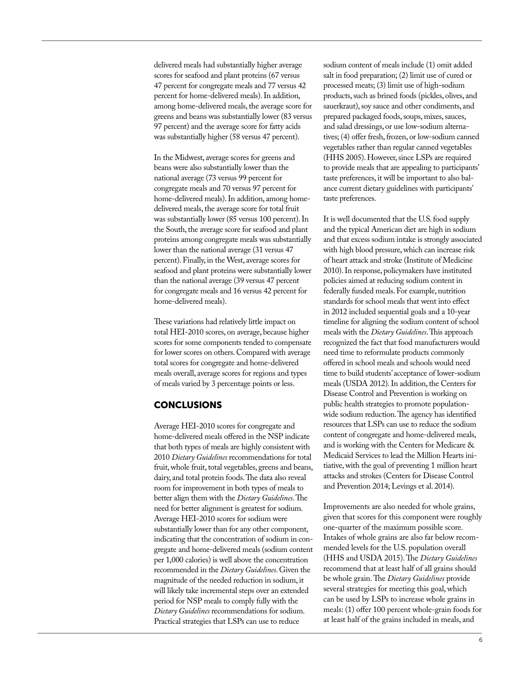delivered meals had substantially higher average scores for seafood and plant proteins (67 versus 47 percent for congregate meals and 77 versus 42 percent for home-delivered meals). In addition, among home-delivered meals, the average score for greens and beans was substantially lower (83 versus 97 percent) and the average score for fatty acids was substantially higher (58 versus 47 percent).

In the Midwest, average scores for greens and beans were also substantially lower than the national average (73 versus 99 percent for congregate meals and 70 versus 97 percent for home-delivered meals). In addition, among homedelivered meals, the average score for total fruit was substantially lower (85 versus 100 percent). In the South, the average score for seafood and plant proteins among congregate meals was substantially lower than the national average (31 versus 47 percent). Finally, in the West, average scores for seafood and plant proteins were substantially lower than the national average (39 versus 47 percent for congregate meals and 16 versus 42 percent for home-delivered meals).

These variations had relatively little impact on total HEI-2010 scores, on average, because higher scores for some components tended to compensate for lower scores on others. Compared with average total scores for congregate and home-delivered meals overall, average scores for regions and types of meals varied by 3 percentage points or less.

# **CONCLUSIONS**

Average HEI-2010 scores for congregate and home-delivered meals offered in the NSP indicate that both types of meals are highly consistent with 2010 *Dietary Guidelines* recommendations for total fruit, whole fruit, total vegetables, greens and beans, dairy, and total protein foods. The data also reveal room for improvement in both types of meals to better align them with the *Dietary Guidelines*. The need for better alignment is greatest for sodium. Average HEI-2010 scores for sodium were substantially lower than for any other component, indicating that the concentration of sodium in congregate and home-delivered meals (sodium content per 1,000 calories) is well above the concentration recommended in the *Dietary Guidelines*. Given the magnitude of the needed reduction in sodium, it will likely take incremental steps over an extended period for NSP meals to comply fully with the *Dietary Guidelines* recommendations for sodium. Practical strategies that LSPs can use to reduce

sodium content of meals include (1) omit added salt in food preparation; (2) limit use of cured or processed meats; (3) limit use of high-sodium products, such as brined foods (pickles, olives, and sauerkraut), soy sauce and other condiments, and prepared packaged foods, soups, mixes, sauces, and salad dressings, or use low-sodium alternatives; (4) offer fresh, frozen, or low-sodium canned vegetables rather than regular canned vegetables (HHS 2005). However, since LSPs are required to provide meals that are appealing to participants' taste preferences, it will be important to also balance current dietary guidelines with participants' taste preferences.

It is well documented that the U.S. food supply and the typical American diet are high in sodium and that excess sodium intake is strongly associated with high blood pressure, which can increase risk of heart attack and stroke (Institute of Medicine 2010). In response, policymakers have instituted policies aimed at reducing sodium content in federally funded meals. For example, nutrition standards for school meals that went into effect in 2012 included sequential goals and a 10-year timeline for aligning the sodium content of school meals with the *Dietary Guidelines*. This approach recognized the fact that food manufacturers would need time to reformulate products commonly offered in school meals and schools would need time to build students' acceptance of lower-sodium meals (USDA 2012). In addition, the Centers for Disease Control and Prevention is working on public health strategies to promote populationwide sodium reduction. The agency has identified resources that LSPs can use to reduce the sodium content of congregate and home-delivered meals, and is working with the Centers for Medicare & Medicaid Services to lead the Million Hearts initiative, with the goal of preventing 1 million heart attacks and strokes (Centers for Disease Control and Prevention 2014; Levings et al. 2014).

Improvements are also needed for whole grains, given that scores for this component were roughly one-quarter of the maximum possible score. Intakes of whole grains are also far below recommended levels for the U.S. population overall (HHS and USDA 2015). The *Dietary Guidelines* recommend that at least half of all grains should be whole grain. The *Dietary Guidelines* provide several strategies for meeting this goal, which can be used by LSPs to increase whole grains in meals: (1) offer 100 percent whole-grain foods for at least half of the grains included in meals, and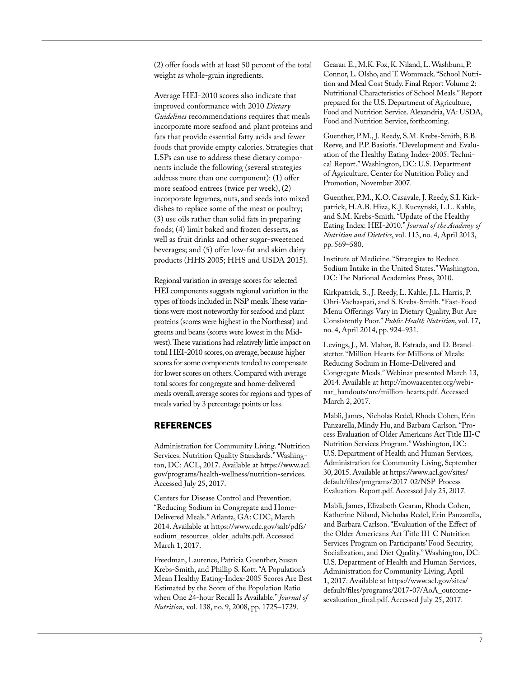(2) offer foods with at least 50 percent of the total weight as whole-grain ingredients.

Average HEI-2010 scores also indicate that improved conformance with 2010 *Dietary Guidelines* recommendations requires that meals incorporate more seafood and plant proteins and fats that provide essential fatty acids and fewer foods that provide empty calories. Strategies that LSPs can use to address these dietary components include the following (several strategies address more than one component): (1) offer more seafood entrees (twice per week), (2) incorporate legumes, nuts, and seeds into mixed dishes to replace some of the meat or poultry; (3) use oils rather than solid fats in preparing foods; (4) limit baked and frozen desserts, as well as fruit drinks and other sugar-sweetened beverages; and (5) offer low-fat and skim dairy products (HHS 2005; HHS and USDA 2015).

Regional variation in average scores for selected HEI components suggests regional variation in the types of foods included in NSP meals. These variations were most noteworthy for seafood and plant proteins (scores were highest in the Northeast) and greens and beans (scores were lowest in the Midwest). These variations had relatively little impact on total HEI-2010 scores, on average, because higher scores for some components tended to compensate for lower scores on others. Compared with average total scores for congregate and home-delivered meals overall, average scores for regions and types of meals varied by 3 percentage points or less.

# **REFERENCES**

Administration for Community Living. "Nutrition Services: Nutrition Quality Standards." Washington, DC: ACL, 2017. Available at [https://www.acl](https://www.acl.gov/programs/health-wellness/nutrition-services). [gov/programs/health-wellness/nutrition-services](https://www.acl.gov/programs/health-wellness/nutrition-services). Accessed July 25, 2017.

Centers for Disease Control and Prevention. "Reducing Sodium in Congregate and Home-Delivered Meals." Atlanta, GA: CDC, March 2014. Available at [https://www.cdc.gov/salt/pdfs/](https://www.cdc.gov/salt/pdfs/sodium_resources_older_adults.pdf) [sodium\\_resources\\_older\\_adults.pdf.](https://www.cdc.gov/salt/pdfs/sodium_resources_older_adults.pdf) Accessed March 1, 2017.

Freedman, Laurence, Patricia Guenther, Susan Krebs-Smith, and Phillip S. Kott. "A Population's Mean Healthy Eating-Index-2005 Scores Are Best Estimated by the Score of the Population Ratio when One 24-hour Recall Is Available." *Journal of Nutrition*, vol. 138, no. 9, 2008, pp. 1725-1729.

Gearan E., M.K. Fox, K. Niland, L. Washburn, P. Connor, L. Olsho, and T. Wommack. "School Nutrition and Meal Cost Study. Final Report Volume 2: Nutritional Characteristics of School Meals." Report prepared for the U.S. Department of Agriculture, Food and Nutrition Service. Alexandria, VA: USDA, Food and Nutrition Service, forthcoming.

Guenther, P.M., J. Reedy, S.M. Krebs-Smith, B.B. Reeve, and P.P. Basiotis. "Development and Evaluation of the Healthy Eating Index-2005: Technical Report." Washington, DC: U.S. Department of Agriculture, Center for Nutrition Policy and Promotion, November 2007.

Guenther, P.M., K.O. Casavale, J. Reedy, S.I. Kirkpatrick, H.A.B. Hiza, K.J. Kuczynski, L.L. Kahle, and S.M. Krebs-Smith. "Update of the Healthy Eating Index: HEI-2010." Journal of the Academy of *Nutrition and Dietetics*, vol. 113, no. 4, April 2013, pp. 569–580.

Institute of Medicine. "Strategies to Reduce Sodium Intake in the United States." Washington, DC: The National Academies Press, 2010.

Kirkpatrick, S., J. Reedy, L. Kahle, J.L. Harris, P. Ohri-Vachaspati, and S. Krebs-Smith. "Fast-Food Menu Offerings Vary in Dietary Quality, But Are Consistently Poor." *Public Health Nutrition*, vol. 17, no. 4, April 2014, pp. 924–931.

Levings, J., M. Mahar, B. Estrada, and D. Brandstetter. "Million Hearts for Millions of Meals: Reducing Sodium in Home-Delivered and Congregate Meals." Webinar presented March 13, 2014. Available at [http://mowaacenter.org/webi](http://mowaacenter.org/webinar_handouts/nrc/million-hearts.pdf)[nar\\_handouts/nrc/million-hearts.pdf.](http://mowaacenter.org/webinar_handouts/nrc/million-hearts.pdf) Accessed March 2, 2017.

Mabli, James, Nicholas Redel, Rhoda Cohen, Erin Panzarella, Mindy Hu, and Barbara Carlson. "Process Evaluation of Older Americans Act Title III-C Nutrition Services Program." Washington, DC: U.S. Department of Health and Human Services, Administration for Community Living, September 30, 2015. Available at [https://www.acl.gov/sites/](https://www.acl.gov/sites/default/files/programs/2017-02/NSP-Process-Evaluation-Report.pdf) [default/files/programs/2017-02/NSP-Process-](https://www.acl.gov/sites/default/files/programs/2017-02/NSP-Process-Evaluation-Report.pdf)[Evaluation-Report.pdf.](https://www.acl.gov/sites/default/files/programs/2017-02/NSP-Process-Evaluation-Report.pdf) Accessed July 25, 2017.

Mabli, James, Elizabeth Gearan, Rhoda Cohen, Katherine Niland, Nicholas Redel, Erin Panzarella, and Barbara Carlson. "Evaluation of the Effect of the Older Americans Act Title III-C Nutrition Services Program on Participants' Food Security, Socialization, and Diet Quality." Washington, DC: U.S. Department of Health and Human Services, Administration for Community Living, April 1, 2017. Available at [https://www.acl.gov/sites/](https://www.acl.gov/sites/default/files/programs/2017-07/AoA_outcomesevaluation_final.pdf) [default/files/programs/2017-07/AoA\\_outcome](https://www.acl.gov/sites/default/files/programs/2017-07/AoA_outcomesevaluation_final.pdf)[sevaluation\\_final.pdf.](https://www.acl.gov/sites/default/files/programs/2017-07/AoA_outcomesevaluation_final.pdf) Accessed July 25, 2017.